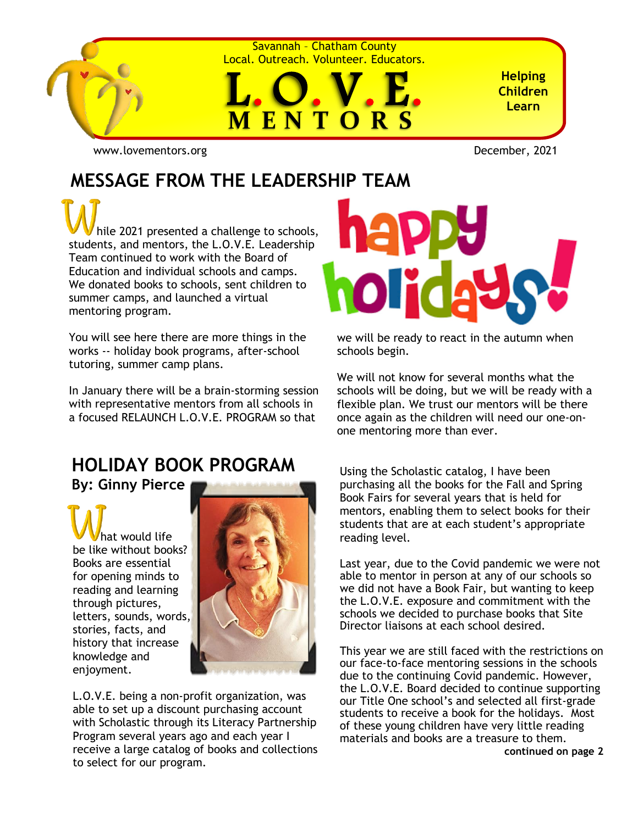

Savannah – Chatham County Local. Outreach. Volunteer. Educators.



**Helping Children Learn**

[www.lovementors.org](http://www.lovementors.org/)<br>
December, 2021

## **MESSAGE FROM THE LEADERSHIP TEAM**

 hile 2021 presented a challenge to schools, students, and mentors, the L.O.V.E. Leadership Team continued to work with the Board of Education and individual schools and camps. We donated books to schools, sent children to summer camps, and launched a virtual mentoring program.

You will see here there are more things in the works -- holiday book programs, after-school tutoring, summer camp plans.

In January there will be a brain-storming session with representative mentors from all schools in a focused RELAUNCH L.O.V.E. PROGRAM so that

## **HOLIDAY BOOK PROGRAM**

**By: Ginny Pierce**

 hat would life be like without books? Books are essential for opening minds to reading and learning through pictures, letters, sounds, words, stories, facts, and history that increase knowledge and enjoyment.



L.O.V.E. being a non-profit organization, was able to set up a discount purchasing account with Scholastic through its Literacy Partnership Program several years ago and each year I receive a large catalog of books and collections to select for our program.



we will be ready to react in the autumn when schools begin.

We will not know for several months what the schools will be doing, but we will be ready with a flexible plan. We trust our mentors will be there once again as the children will need our one-onone mentoring more than ever.

Using the Scholastic catalog, I have been purchasing all the books for the Fall and Spring Book Fairs for several years that is held for mentors, enabling them to select books for their students that are at each student's appropriate reading level.

Last year, due to the Covid pandemic we were not able to mentor in person at any of our schools so we did not have a Book Fair, but wanting to keep the L.O.V.E. exposure and commitment with the schools we decided to purchase books that Site Director liaisons at each school desired.

This year we are still faced with the restrictions on our face-to-face mentoring sessions in the schools due to the continuing Covid pandemic. However, the L.O.V.E. Board decided to continue supporting our Title One school's and selected all first-grade students to receive a book for the holidays. Most of these young children have very little reading materials and books are a treasure to them. **continued on page 2**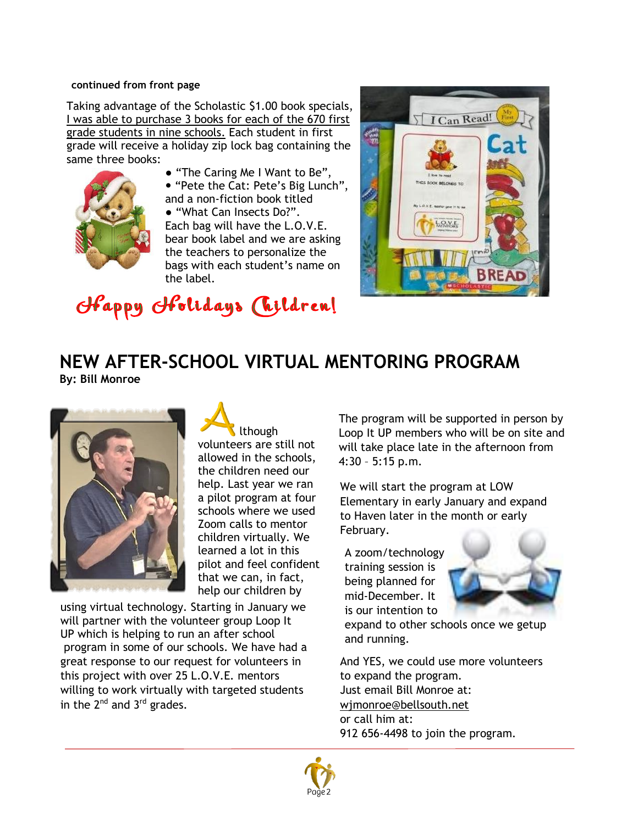#### **continued from front page**

Taking advantage of the Scholastic \$1.00 book specials, I was able to purchase 3 books for each of the 670 first grade students in nine schools. Each student in first grade will receive a holiday zip lock bag containing the same three books:



● "The Caring Me I Want to Be", "Pete the Cat: Pete's Big Lunch", and a non-fiction book titled

● "What Can Insects Do?". Each bag will have the L.O.V.E. bear book label and we are asking the teachers to personalize the bags with each student's name on the label.



Happy Holidays (Tildren!

#### **NEW AFTER-SCHOOL VIRTUAL MENTORING PROGRAM By: Bill Monroe**



 lthough volunteers are still not allowed in the schools, the children need our help. Last year we ran a pilot program at four schools where we used Zoom calls to mentor children virtually. We learned a lot in this pilot and feel confident that we can, in fact, help our children by

using virtual technology. Starting in January we will partner with the volunteer group Loop It UP which is helping to run an after school program in some of our schools. We have had a great response to our request for volunteers in this project with over 25 L.O.V.E. mentors willing to work virtually with targeted students in the  $2^{nd}$  and  $3^{rd}$  grades.

The program will be supported in person by Loop It UP members who will be on site and will take place late in the afternoon from 4:30 – 5:15 p.m.

We will start the program at LOW Elementary in early January and expand to Haven later in the month or early February.

A zoom/technology training session is being planned for mid-December. It is our intention to



expand to other schools once we getup and running.

And YES, we could use more volunteers to expand the program. Just email Bill Monroe at: [wjmonroe@bellsouth.net](mailto:wjmonroe@bellsouth.net) or call him at: 912 656-4498 to join the program.

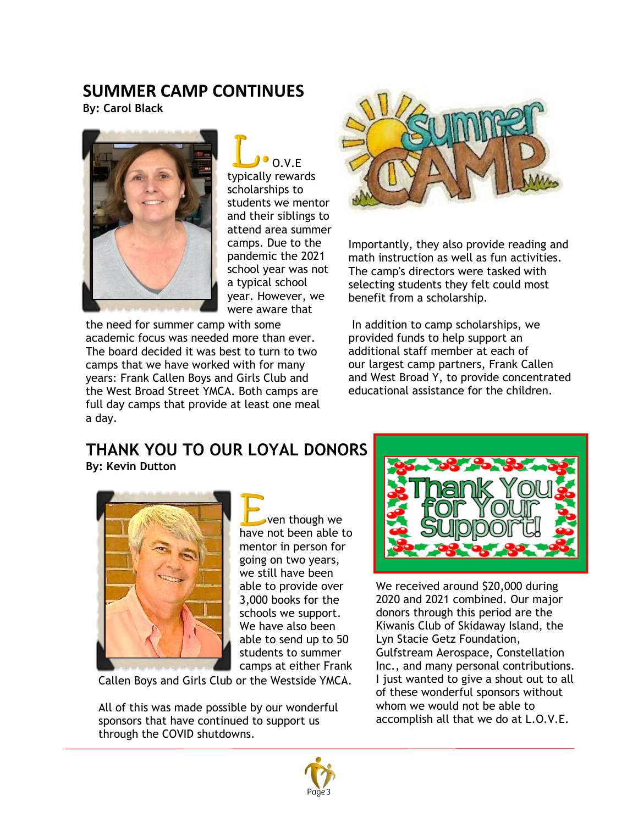### **SUMMER CAMP CONTINUES**

**By: Carol Black**



O.V.F typically rewards scholarships to students we mentor and their siblings to attend area summer camps. Due to the pandemic the 2021 school year was not a typical school year. However, we were aware that

the need for summer camp with some academic focus was needed more than ever. The board decided it was best to turn to two camps that we have worked with for many years: Frank Callen Boys and Girls Club and the West Broad Street YMCA. Both camps are full day camps that provide at least one meal a day.



Importantly, they also provide reading and math instruction as well as fun activities. The camp's directors were tasked with selecting students they felt could most benefit from a scholarship.

In addition to camp scholarships, we provided funds to help support an additional staff member at each of our largest camp partners, Frank Callen and West Broad Y, to provide concentrated educational assistance for the children.

#### **THANK YOU TO OUR LOYAL DONORS By: Kevin Dutton**



 ven though we have not been able to mentor in person for going on two years, we still have been able to provide over 3,000 books for the schools we support. We have also been able to send up to 50 students to summer camps at either Frank

Callen Boys and Girls Club or the Westside YMCA.

All of this was made possible by our wonderful sponsors that have continued to support us through the COVID shutdowns.



We received around \$20,000 during 2020 and 2021 combined. Our major donors through this period are the Kiwanis Club of Skidaway Island, the Lyn Stacie Getz Foundation, Gulfstream Aerospace, Constellation Inc., and many personal contributions. I just wanted to give a shout out to all of these wonderful sponsors without whom we would not be able to accomplish all that we do at L.O.V.E.

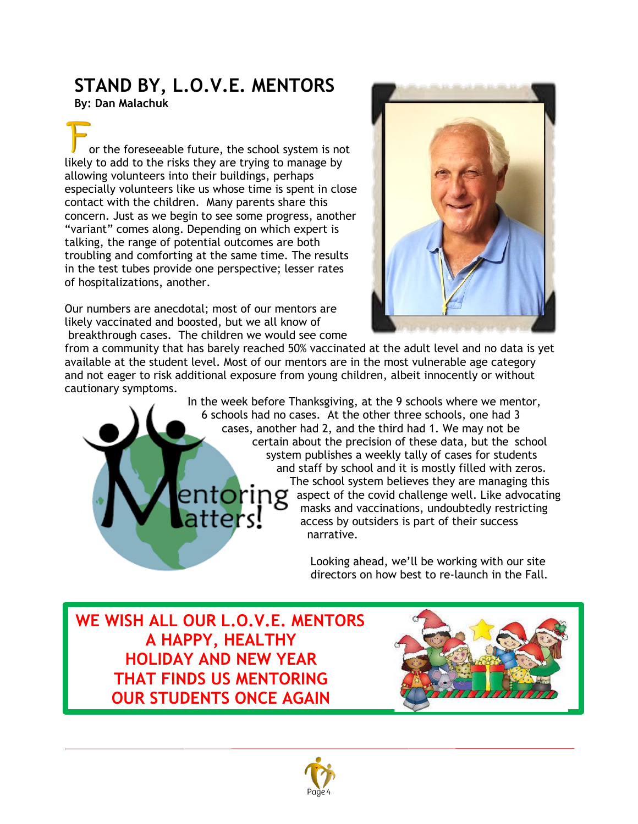## **STAND BY, L.O.V.E. MENTORS**

**By: Dan Malachuk**

 or the foreseeable future, the school system is not likely to add to the risks they are trying to manage by allowing volunteers into their buildings, perhaps especially volunteers like us whose time is spent in close contact with the children. Many parents share this concern. Just as we begin to see some progress, another "variant" comes along. Depending on which expert is talking, the range of potential outcomes are both troubling and comforting at the same time. The results in the test tubes provide one perspective; lesser rates of hospitalizations, another.

Our numbers are anecdotal; most of our mentors are likely vaccinated and boosted, but we all know of breakthrough cases. The children we would see come



from a community that has barely reached 50% vaccinated at the adult level and no data is yet available at the student level. Most of our mentors are in the most vulnerable age category and not eager to risk additional exposure from young children, albeit innocently or without cautionary symptoms.

 In the week before Thanksgiving, at the 9 schools where we mentor, 6 schools had no cases. At the other three schools, one had 3 cases, another had 2, and the third had 1. We may not be certain about the precision of these data, but the school system publishes a weekly tally of cases for students and staff by school and it is mostly filled with zeros. The school system believes they are managing this  $entoring$  aspect of the covid challenge well. Like advocating masks and vaccinations. undoubtedly restricting masks and vaccinations, undoubtedly restricting tters! access by outsiders is part of their success narrative.

> Looking ahead, we'll be working with our site directors on how best to re-launch in the Fall.

**WE WISH ALL OUR L.O.V.E. MENTORS A HAPPY, HEALTHY HOLIDAY AND NEW YEAR THAT FINDS US MENTORING OUR STUDENTS ONCE AGAIN**